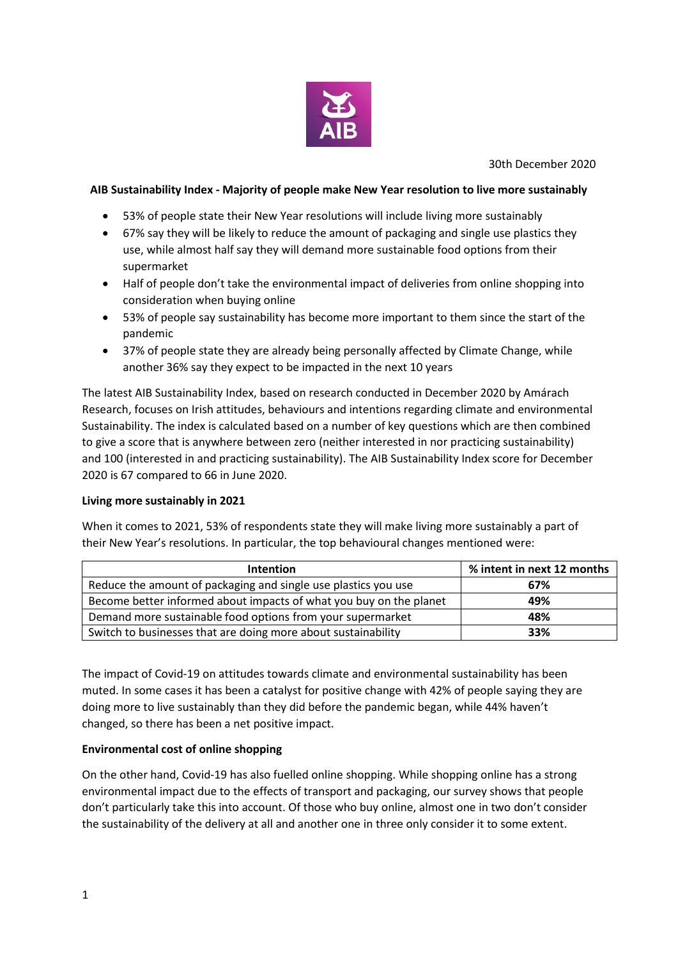

30th December 2020

### **AIB Sustainability Index - Majority of people make New Year resolution to live more sustainably**

- 53% of people state their New Year resolutions will include living more sustainably
- 67% say they will be likely to reduce the amount of packaging and single use plastics they use, while almost half say they will demand more sustainable food options from their supermarket
- Half of people don't take the environmental impact of deliveries from online shopping into consideration when buying online
- 53% of people say sustainability has become more important to them since the start of the pandemic
- 37% of people state they are already being personally affected by Climate Change, while another 36% say they expect to be impacted in the next 10 years

The latest AIB Sustainability Index, based on research conducted in December 2020 by Amárach Research, focuses on Irish attitudes, behaviours and intentions regarding climate and environmental Sustainability. The index is calculated based on a number of key questions which are then combined to give a score that is anywhere between zero (neither interested in nor practicing sustainability) and 100 (interested in and practicing sustainability). The AIB Sustainability Index score for December 2020 is 67 compared to 66 in June 2020.

#### **Living more sustainably in 2021**

When it comes to 2021, 53% of respondents state they will make living more sustainably a part of their New Year's resolutions. In particular, the top behavioural changes mentioned were:

| <b>Intention</b>                                                   | % intent in next 12 months |
|--------------------------------------------------------------------|----------------------------|
| Reduce the amount of packaging and single use plastics you use     | 67%                        |
| Become better informed about impacts of what you buy on the planet | 49%                        |
| Demand more sustainable food options from your supermarket         | 48%                        |
| Switch to businesses that are doing more about sustainability      | 33%                        |

The impact of Covid-19 on attitudes towards climate and environmental sustainability has been muted. In some cases it has been a catalyst for positive change with 42% of people saying they are doing more to live sustainably than they did before the pandemic began, while 44% haven't changed, so there has been a net positive impact.

# **Environmental cost of online shopping**

On the other hand, Covid-19 has also fuelled online shopping. While shopping online has a strong environmental impact due to the effects of transport and packaging, our survey shows that people don't particularly take this into account. Of those who buy online, almost one in two don't consider the sustainability of the delivery at all and another one in three only consider it to some extent.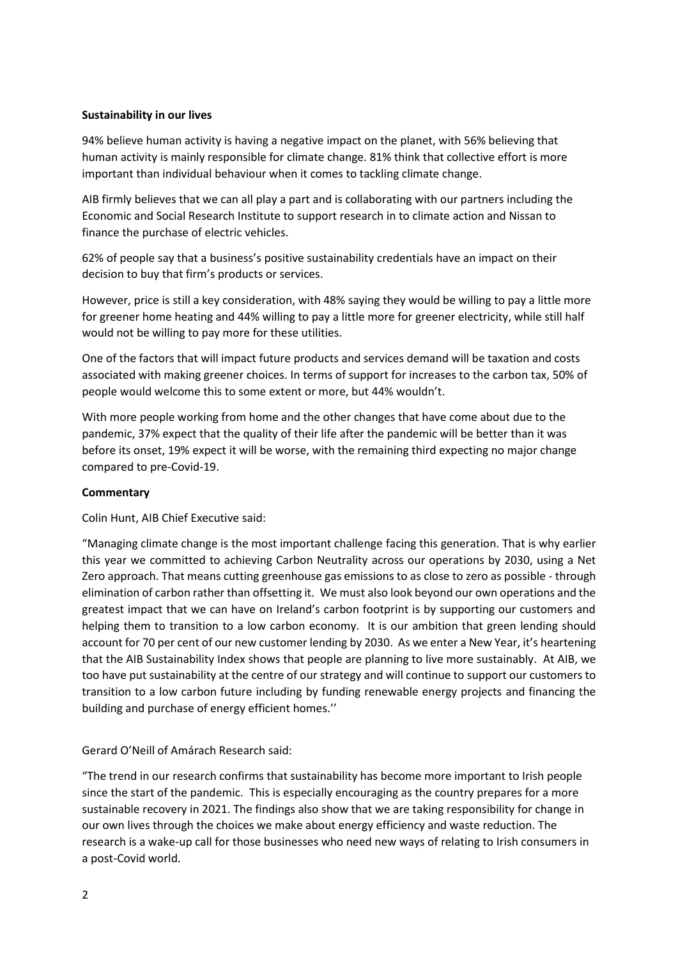### **Sustainability in our lives**

94% believe human activity is having a negative impact on the planet, with 56% believing that human activity is mainly responsible for climate change. 81% think that collective effort is more important than individual behaviour when it comes to tackling climate change.

AIB firmly believes that we can all play a part and is collaborating with our partners including the Economic and Social Research Institute to support research in to climate action and Nissan to finance the purchase of electric vehicles.

62% of people say that a business's positive sustainability credentials have an impact on their decision to buy that firm's products or services.

However, price is still a key consideration, with 48% saying they would be willing to pay a little more for greener home heating and 44% willing to pay a little more for greener electricity, while still half would not be willing to pay more for these utilities.

One of the factors that will impact future products and services demand will be taxation and costs associated with making greener choices. In terms of support for increases to the carbon tax, 50% of people would welcome this to some extent or more, but 44% wouldn't.

With more people working from home and the other changes that have come about due to the pandemic, 37% expect that the quality of their life after the pandemic will be better than it was before its onset, 19% expect it will be worse, with the remaining third expecting no major change compared to pre-Covid-19.

#### **Commentary**

Colin Hunt, AIB Chief Executive said:

"Managing climate change is the most important challenge facing this generation. That is why earlier this year we committed to achieving Carbon Neutrality across our operations by 2030, using a Net Zero approach. That means cutting greenhouse gas emissions to as close to zero as possible - through elimination of carbon rather than offsetting it. We must also look beyond our own operations and the greatest impact that we can have on Ireland's carbon footprint is by supporting our customers and helping them to transition to a low carbon economy. It is our ambition that green lending should account for 70 per cent of our new customer lending by 2030. As we enter a New Year, it's heartening that the AIB Sustainability Index shows that people are planning to live more sustainably. At AIB, we too have put sustainability at the centre of our strategy and will continue to support our customers to transition to a low carbon future including by funding renewable energy projects and financing the building and purchase of energy efficient homes.''

Gerard O'Neill of Amárach Research said:

"The trend in our research confirms that sustainability has become more important to Irish people since the start of the pandemic. This is especially encouraging as the country prepares for a more sustainable recovery in 2021. The findings also show that we are taking responsibility for change in our own lives through the choices we make about energy efficiency and waste reduction. The research is a wake-up call for those businesses who need new ways of relating to Irish consumers in a post-Covid world.